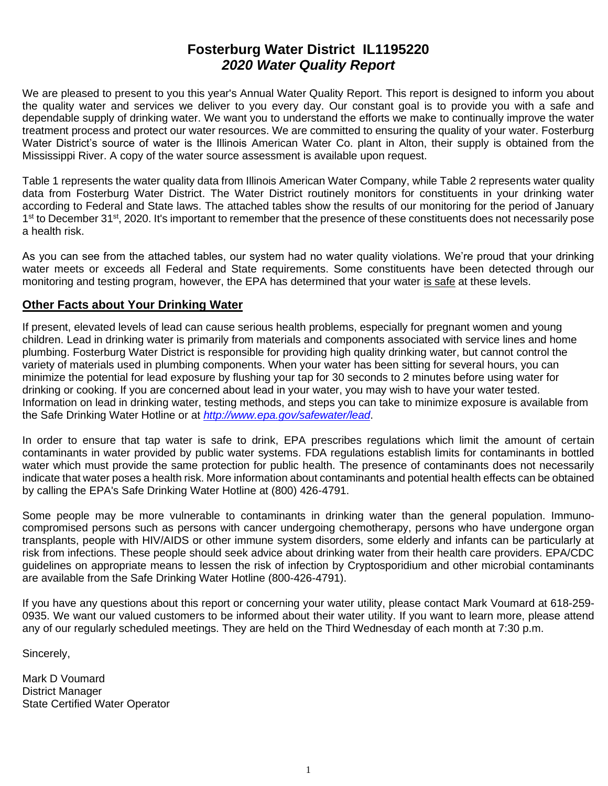# **Fosterburg Water District IL1195220** *2020 Water Quality Report*

We are pleased to present to you this year's Annual Water Quality Report. This report is designed to inform you about the quality water and services we deliver to you every day. Our constant goal is to provide you with a safe and dependable supply of drinking water. We want you to understand the efforts we make to continually improve the water treatment process and protect our water resources. We are committed to ensuring the quality of your water. Fosterburg Water District's source of water is the Illinois American Water Co. plant in Alton, their supply is obtained from the Mississippi River. A copy of the water source assessment is available upon request.

Table 1 represents the water quality data from Illinois American Water Company, while Table 2 represents water quality data from Fosterburg Water District. The Water District routinely monitors for constituents in your drinking water according to Federal and State laws. The attached tables show the results of our monitoring for the period of January 1<sup>st</sup> to December 31<sup>st</sup>, 2020. It's important to remember that the presence of these constituents does not necessarily pose a health risk.

As you can see from the attached tables, our system had no water quality violations. We're proud that your drinking water meets or exceeds all Federal and State requirements. Some constituents have been detected through our monitoring and testing program, however, the EPA has determined that your water is safe at these levels.

### **Other Facts about Your Drinking Water**

If present, elevated levels of lead can cause serious health problems, especially for pregnant women and young children. Lead in drinking water is primarily from materials and components associated with service lines and home plumbing. Fosterburg Water District is responsible for providing high quality drinking water, but cannot control the variety of materials used in plumbing components. When your water has been sitting for several hours, you can minimize the potential for lead exposure by flushing your tap for 30 seconds to 2 minutes before using water for drinking or cooking. If you are concerned about lead in your water, you may wish to have your water tested. Information on lead in drinking water, testing methods, and steps you can take to minimize exposure is available from the Safe Drinking Water Hotline or at *<http://www.epa.gov/safewater/lead>*.

In order to ensure that tap water is safe to drink, EPA prescribes regulations which limit the amount of certain contaminants in water provided by public water systems. FDA regulations establish limits for contaminants in bottled water which must provide the same protection for public health. The presence of contaminants does not necessarily indicate that water poses a health risk. More information about contaminants and potential health effects can be obtained by calling the EPA's Safe Drinking Water Hotline at (800) 426-4791.

Some people may be more vulnerable to contaminants in drinking water than the general population. Immunocompromised persons such as persons with cancer undergoing chemotherapy, persons who have undergone organ transplants, people with HIV/AIDS or other immune system disorders, some elderly and infants can be particularly at risk from infections. These people should seek advice about drinking water from their health care providers. EPA/CDC guidelines on appropriate means to lessen the risk of infection by Cryptosporidium and other microbial contaminants are available from the Safe Drinking Water Hotline (800-426-4791).

If you have any questions about this report or concerning your water utility, please contact Mark Voumard at 618-259- 0935. We want our valued customers to be informed about their water utility. If you want to learn more, please attend any of our regularly scheduled meetings. They are held on the Third Wednesday of each month at 7:30 p.m.

Sincerely,

Mark D Voumard District Manager State Certified Water Operator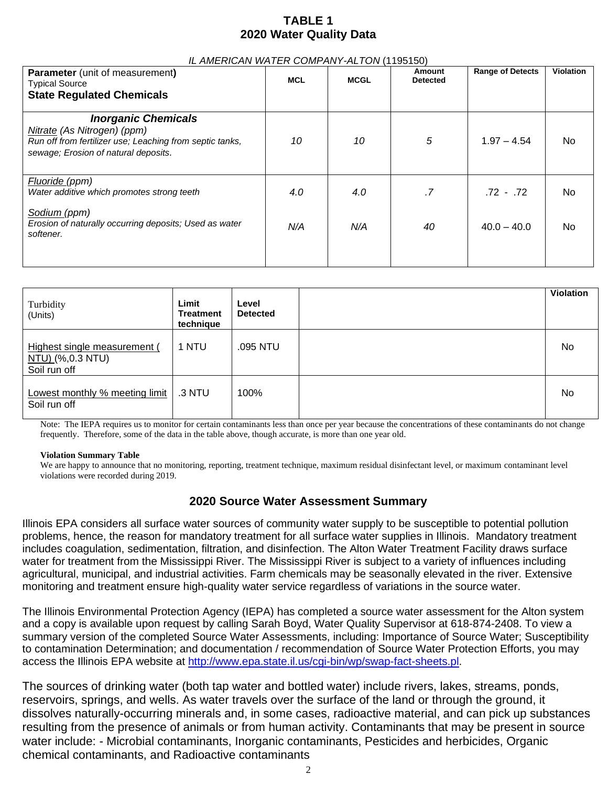# **TABLE 1 2020 Water Quality Data**

#### *IL AMERICAN WATER COMPANY-ALTON* (1195150)

| <b>Parameter</b> (unit of measurement)<br><b>Typical Source</b>                                                                                               | <b>MCL</b> | <b>MCGL</b> | Amount<br><b>Detected</b> | <b>Range of Detects</b> | <b>Violation</b> |
|---------------------------------------------------------------------------------------------------------------------------------------------------------------|------------|-------------|---------------------------|-------------------------|------------------|
| <b>State Regulated Chemicals</b>                                                                                                                              |            |             |                           |                         |                  |
| <b>Inorganic Chemicals</b><br>Nitrate (As Nitrogen) (ppm)<br>Run off from fertilizer use; Leaching from septic tanks,<br>sewage; Erosion of natural deposits. | 10         | 10          | 5                         | $1.97 - 4.54$           | No.              |
| Fluoride (ppm)<br>Water additive which promotes strong teeth                                                                                                  | 4.0        | 4.0         | .7                        | $.72 - .72$             | No.              |
| Sodium (ppm)<br>Erosion of naturally occurring deposits; Used as water<br>softener.                                                                           | N/A        | N/A         | 40                        | $40.0 - 40.0$           | No.              |
|                                                                                                                                                               |            |             |                           |                         |                  |

| Turbidity<br>(Units)                                             | Limit<br>Treatment<br>technique | Level<br><b>Detected</b> | <b>Violation</b> |
|------------------------------------------------------------------|---------------------------------|--------------------------|------------------|
| Highest single measurement (<br>NTU) (%,0.3 NTU)<br>Soil run off | 1 NTU                           | .095 NTU                 | No               |
| Lowest monthly % meeting limit<br>Soil run off                   | .3 NTU                          | 100%                     | No               |

Note: The IEPA requires us to monitor for certain contaminants less than once per year because the concentrations of these contaminants do not change frequently. Therefore, some of the data in the table above, though accurate, is more than one year old.

#### **Violation Summary Table**

We are happy to announce that no monitoring, reporting, treatment technique, maximum residual disinfectant level, or maximum contaminant level violations were recorded during 2019.

### **2020 Source Water Assessment Summary**

Illinois EPA considers all surface water sources of community water supply to be susceptible to potential pollution problems, hence, the reason for mandatory treatment for all surface water supplies in Illinois. Mandatory treatment includes coagulation, sedimentation, filtration, and disinfection. The Alton Water Treatment Facility draws surface water for treatment from the Mississippi River. The Mississippi River is subject to a variety of influences including agricultural, municipal, and industrial activities. Farm chemicals may be seasonally elevated in the river. Extensive monitoring and treatment ensure high-quality water service regardless of variations in the source water.

The Illinois Environmental Protection Agency (IEPA) has completed a source water assessment for the Alton system and a copy is available upon request by calling Sarah Boyd, Water Quality Supervisor at 618-874-2408. To view a summary version of the completed Source Water Assessments, including: Importance of Source Water; Susceptibility to contamination Determination; and documentation / recommendation of Source Water Protection Efforts, you may access the Illinois EPA website at [http://www.epa.state.il.us/cgi-bin/wp/swap-fact-sheets.pl.](http://www.epa.state.il.us/cgi-bin/wp/swap-fact-sheets.pl)

The sources of drinking water (both tap water and bottled water) include rivers, lakes, streams, ponds, reservoirs, springs, and wells. As water travels over the surface of the land or through the ground, it dissolves naturally-occurring minerals and, in some cases, radioactive material, and can pick up substances resulting from the presence of animals or from human activity. Contaminants that may be present in source water include: - Microbial contaminants, Inorganic contaminants, Pesticides and herbicides, Organic chemical contaminants, and Radioactive contaminants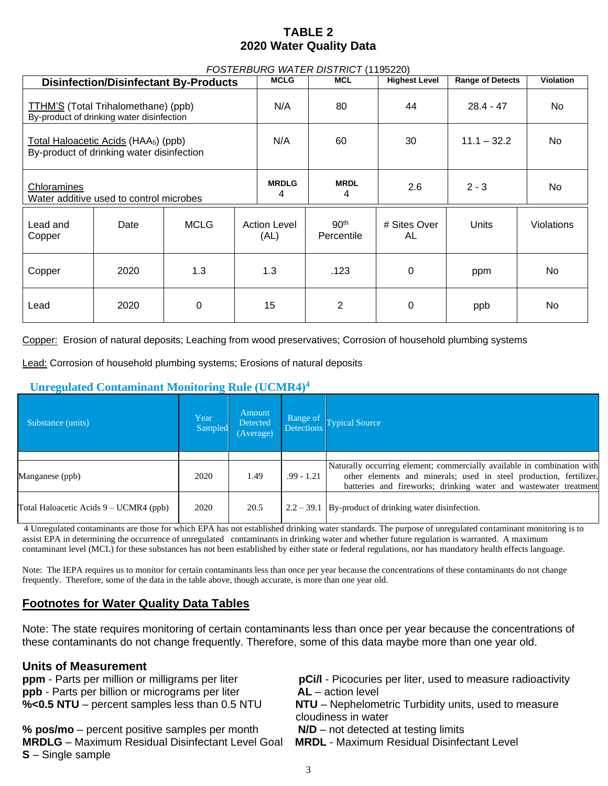# **TABLE 2 2020 Water Quality Data**

| FOSTERBURG WATER DISTRICT (1195220)                                                           |      |             |                             |                  |                                |                         |           |                   |
|-----------------------------------------------------------------------------------------------|------|-------------|-----------------------------|------------------|--------------------------------|-------------------------|-----------|-------------------|
| <b>Disinfection/Disinfectant By-Products</b>                                                  |      |             | <b>MCLG</b>                 | <b>MCL</b>       | <b>Highest Level</b>           | <b>Range of Detects</b> | Violation |                   |
| TTHM'S (Total Trihalomethane) (ppb)<br>By-product of drinking water disinfection              |      |             | N/A                         | 80               | 44                             | $28.4 - 47$             | No.       |                   |
| Total Haloacetic Acids (HAA <sub>5</sub> ) (ppb)<br>By-product of drinking water disinfection |      |             | N/A                         | 60               | 30                             | $11.1 - 32.2$           | No.       |                   |
| Chloramines<br>Water additive used to control microbes                                        |      |             | <b>MRDLG</b><br>4           | <b>MRDL</b><br>4 | 2.6                            | $2 - 3$                 | No.       |                   |
| Lead and<br>Copper                                                                            | Date | <b>MCLG</b> | <b>Action Level</b><br>(AL) |                  | 90 <sup>th</sup><br>Percentile | # Sites Over<br>AL      | Units     | <b>Violations</b> |
| Copper                                                                                        | 2020 | 1.3         | 1.3                         |                  | .123                           | 0                       | ppm       | No.               |
| Lead                                                                                          | 2020 | $\Omega$    | 15                          |                  | 2                              | $\Omega$                | ppb       | No                |

Copper: Erosion of natural deposits; Leaching from wood preservatives; Corrosion of household plumbing systems

Lead: Corrosion of household plumbing systems; Erosions of natural deposits

## **Unregulated Contaminant Monitoring Rule (UCMR4)<sup>4</sup>**

| Substance (units)                      | Year<br>Sampled | Amount<br>Detected<br>(Average) | Range of<br><b>Detections</b> | <b>Typical Source</b>                                                                                                                                                                                             |
|----------------------------------------|-----------------|---------------------------------|-------------------------------|-------------------------------------------------------------------------------------------------------------------------------------------------------------------------------------------------------------------|
|                                        |                 |                                 |                               |                                                                                                                                                                                                                   |
| Manganese (ppb)                        | 2020            | 1.49                            | $.99 - 1.21$                  | Naturally occurring element; commercially available in combination with<br>other elements and minerals; used in steel production, fertilizer,<br>batteries and fireworks; drinking water and wastewater treatment |
| Total Haloacetic Acids 9 – UCMR4 (ppb) | 2020            | 20.5                            |                               | $2.2 - 39.1$ By-product of drinking water disinfection.                                                                                                                                                           |

4 Unregulated contaminants are those for which EPA has not established drinking water standards. The purpose of unregulated contaminant monitoring is to assist EPA in determining the occurrence of unregulated contaminants in drinking water and whether future regulation is warranted. A maximum contaminant level (MCL) for these substances has not been established by either state or federal regulations, nor has mandatory health effects language.

Note: The IEPA requires us to monitor for certain contaminants less than once per year because the concentrations of these contaminants do not change frequently. Therefore, some of the data in the table above, though accurate, is more than one year old.

### **Footnotes for Water Quality Data Tables**

Note: The state requires monitoring of certain contaminants less than once per year because the concentrations of these contaminants do not change frequently. Therefore, some of this data maybe more than one year old.

### **Units of Measurement**

**ppm** - Parts per million or milligrams per liter **pCi/l** - Picocuries per liter, used to measure radioactivity **ppb** - Parts per billion or micrograms per liter **AL** – action level

**% pos/mo** – percent positive samples per month **N/D** – not detected at testing limits **MRDLG** – Maximum Residual Disinfectant Level Goal **MRDL** - Maximum Residual Disinfectant Level **S** – Single sample

**%<0.5 NTU** – percent samples less than 0.5 NTU **NTU** – Nephelometric Turbidity units, used to measure cloudiness in water